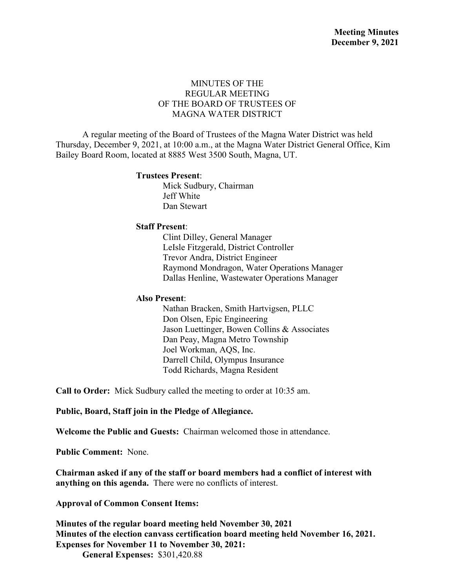### MINUTES OF THE REGULAR MEETING OF THE BOARD OF TRUSTEES OF MAGNA WATER DISTRICT

A regular meeting of the Board of Trustees of the Magna Water District was held Thursday, December 9, 2021, at 10:00 a.m., at the Magna Water District General Office, Kim Bailey Board Room, located at 8885 West 3500 South, Magna, UT.

#### **Trustees Present**:

Mick Sudbury, Chairman Jeff White Dan Stewart

#### **Staff Present**:

Clint Dilley, General Manager LeIsle Fitzgerald, District Controller Trevor Andra, District Engineer Raymond Mondragon, Water Operations Manager Dallas Henline, Wastewater Operations Manager

#### **Also Present**:

Nathan Bracken, Smith Hartvigsen, PLLC Don Olsen, Epic Engineering Jason Luettinger, Bowen Collins & Associates Dan Peay, Magna Metro Township Joel Workman, AQS, Inc. Darrell Child, Olympus Insurance Todd Richards, Magna Resident

**Call to Order:** Mick Sudbury called the meeting to order at 10:35 am.

**Public, Board, Staff join in the Pledge of Allegiance.**

**Welcome the Public and Guests:** Chairman welcomed those in attendance.

**Public Comment:** None.

**Chairman asked if any of the staff or board members had a conflict of interest with anything on this agenda.** There were no conflicts of interest.

**Approval of Common Consent Items:**

**Minutes of the regular board meeting held November 30, 2021 Minutes of the election canvass certification board meeting held November 16, 2021. Expenses for November 11 to November 30, 2021:** 

**General Expenses:** \$301,420.88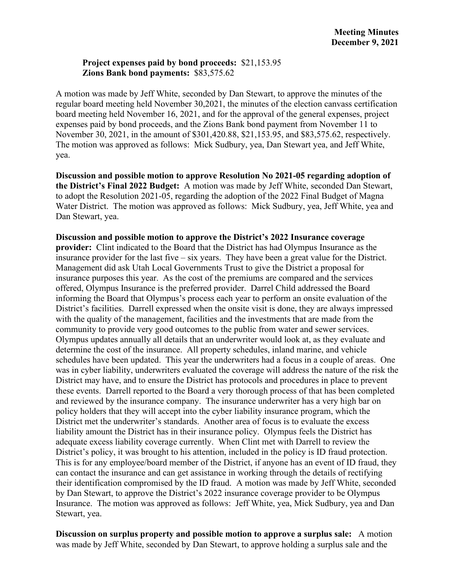#### **Project expenses paid by bond proceeds:** \$21,153.95 **Zions Bank bond payments:** \$83,575.62

A motion was made by Jeff White, seconded by Dan Stewart, to approve the minutes of the regular board meeting held November 30,2021, the minutes of the election canvass certification board meeting held November 16, 2021, and for the approval of the general expenses, project expenses paid by bond proceeds, and the Zions Bank bond payment from November 11 to November 30, 2021, in the amount of \$301,420.88, \$21,153.95, and \$83,575.62, respectively. The motion was approved as follows: Mick Sudbury, yea, Dan Stewart yea, and Jeff White, yea.

**Discussion and possible motion to approve Resolution No 2021-05 regarding adoption of the District's Final 2022 Budget:** A motion was made by Jeff White, seconded Dan Stewart, to adopt the Resolution 2021-05, regarding the adoption of the 2022 Final Budget of Magna Water District. The motion was approved as follows: Mick Sudbury, yea, Jeff White, yea and Dan Stewart, yea.

**Discussion and possible motion to approve the District's 2022 Insurance coverage provider:** Clint indicated to the Board that the District has had Olympus Insurance as the insurance provider for the last five – six years. They have been a great value for the District. Management did ask Utah Local Governments Trust to give the District a proposal for insurance purposes this year. As the cost of the premiums are compared and the services offered, Olympus Insurance is the preferred provider. Darrel Child addressed the Board informing the Board that Olympus's process each year to perform an onsite evaluation of the District's facilities. Darrell expressed when the onsite visit is done, they are always impressed with the quality of the management, facilities and the investments that are made from the community to provide very good outcomes to the public from water and sewer services. Olympus updates annually all details that an underwriter would look at, as they evaluate and determine the cost of the insurance. All property schedules, inland marine, and vehicle schedules have been updated. This year the underwriters had a focus in a couple of areas. One was in cyber liability, underwriters evaluated the coverage will address the nature of the risk the District may have, and to ensure the District has protocols and procedures in place to prevent these events. Darrell reported to the Board a very thorough process of that has been completed and reviewed by the insurance company. The insurance underwriter has a very high bar on policy holders that they will accept into the cyber liability insurance program, which the District met the underwriter's standards. Another area of focus is to evaluate the excess liability amount the District has in their insurance policy. Olympus feels the District has adequate excess liability coverage currently. When Clint met with Darrell to review the District's policy, it was brought to his attention, included in the policy is ID fraud protection. This is for any employee/board member of the District, if anyone has an event of ID fraud, they can contact the insurance and can get assistance in working through the details of rectifying their identification compromised by the ID fraud. A motion was made by Jeff White, seconded by Dan Stewart, to approve the District's 2022 insurance coverage provider to be Olympus Insurance. The motion was approved as follows: Jeff White, yea, Mick Sudbury, yea and Dan Stewart, yea.

**Discussion on surplus property and possible motion to approve a surplus sale:** A motion was made by Jeff White, seconded by Dan Stewart, to approve holding a surplus sale and the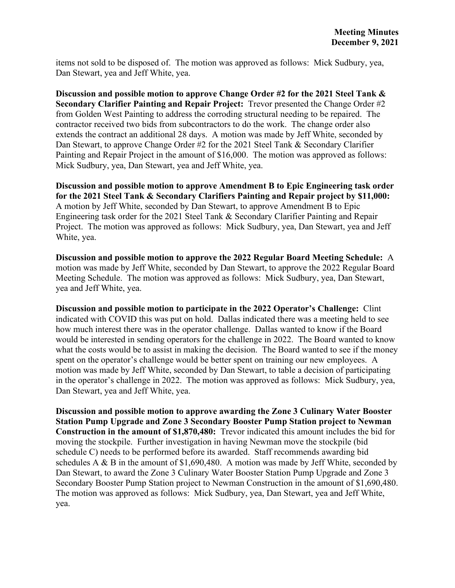items not sold to be disposed of. The motion was approved as follows: Mick Sudbury, yea, Dan Stewart, yea and Jeff White, yea.

**Discussion and possible motion to approve Change Order #2 for the 2021 Steel Tank & Secondary Clarifier Painting and Repair Project:** Trevor presented the Change Order #2 from Golden West Painting to address the corroding structural needing to be repaired. The contractor received two bids from subcontractors to do the work. The change order also extends the contract an additional 28 days. A motion was made by Jeff White, seconded by Dan Stewart, to approve Change Order #2 for the 2021 Steel Tank & Secondary Clarifier Painting and Repair Project in the amount of \$16,000. The motion was approved as follows: Mick Sudbury, yea, Dan Stewart, yea and Jeff White, yea.

**Discussion and possible motion to approve Amendment B to Epic Engineering task order for the 2021 Steel Tank & Secondary Clarifiers Painting and Repair project by \$11,000:**  A motion by Jeff White, seconded by Dan Stewart, to approve Amendment B to Epic Engineering task order for the 2021 Steel Tank & Secondary Clarifier Painting and Repair Project. The motion was approved as follows: Mick Sudbury, yea, Dan Stewart, yea and Jeff White, yea.

**Discussion and possible motion to approve the 2022 Regular Board Meeting Schedule:** A motion was made by Jeff White, seconded by Dan Stewart, to approve the 2022 Regular Board Meeting Schedule. The motion was approved as follows: Mick Sudbury, yea, Dan Stewart, yea and Jeff White, yea.

**Discussion and possible motion to participate in the 2022 Operator's Challenge:** Clint indicated with COVID this was put on hold. Dallas indicated there was a meeting held to see how much interest there was in the operator challenge. Dallas wanted to know if the Board would be interested in sending operators for the challenge in 2022. The Board wanted to know what the costs would be to assist in making the decision. The Board wanted to see if the money spent on the operator's challenge would be better spent on training our new employees. A motion was made by Jeff White, seconded by Dan Stewart, to table a decision of participating in the operator's challenge in 2022. The motion was approved as follows: Mick Sudbury, yea, Dan Stewart, yea and Jeff White, yea.

**Discussion and possible motion to approve awarding the Zone 3 Culinary Water Booster Station Pump Upgrade and Zone 3 Secondary Booster Pump Station project to Newman Construction in the amount of \$1,870,480:** Trevor indicated this amount includes the bid for moving the stockpile. Further investigation in having Newman move the stockpile (bid schedule C) needs to be performed before its awarded. Staff recommends awarding bid schedules A & B in the amount of \$1,690,480. A motion was made by Jeff White, seconded by Dan Stewart, to award the Zone 3 Culinary Water Booster Station Pump Upgrade and Zone 3 Secondary Booster Pump Station project to Newman Construction in the amount of \$1,690,480. The motion was approved as follows: Mick Sudbury, yea, Dan Stewart, yea and Jeff White, yea.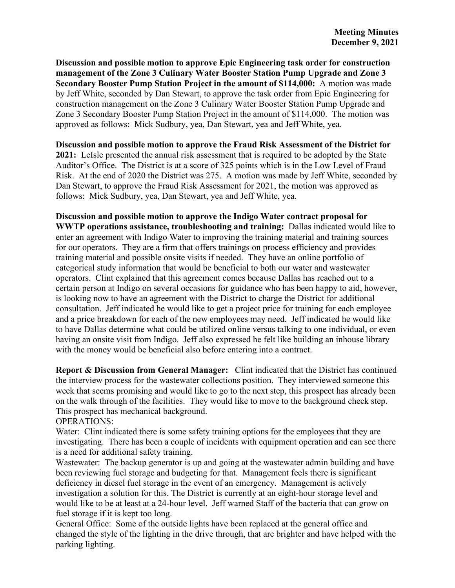**Discussion and possible motion to approve Epic Engineering task order for construction management of the Zone 3 Culinary Water Booster Station Pump Upgrade and Zone 3 Secondary Booster Pump Station Project in the amount of \$114,000:** A motion was made by Jeff White, seconded by Dan Stewart, to approve the task order from Epic Engineering for construction management on the Zone 3 Culinary Water Booster Station Pump Upgrade and Zone 3 Secondary Booster Pump Station Project in the amount of \$114,000. The motion was approved as follows: Mick Sudbury, yea, Dan Stewart, yea and Jeff White, yea.

**Discussion and possible motion to approve the Fraud Risk Assessment of the District for 2021:** LeIsle presented the annual risk assessment that is required to be adopted by the State Auditor's Office. The District is at a score of 325 points which is in the Low Level of Fraud Risk. At the end of 2020 the District was 275. A motion was made by Jeff White, seconded by Dan Stewart, to approve the Fraud Risk Assessment for 2021, the motion was approved as follows: Mick Sudbury, yea, Dan Stewart, yea and Jeff White, yea.

**Discussion and possible motion to approve the Indigo Water contract proposal for WWTP operations assistance, troubleshooting and training:** Dallas indicated would like to enter an agreement with Indigo Water to improving the training material and training sources for our operators. They are a firm that offers trainings on process efficiency and provides training material and possible onsite visits if needed. They have an online portfolio of categorical study information that would be beneficial to both our water and wastewater operators. Clint explained that this agreement comes because Dallas has reached out to a certain person at Indigo on several occasions for guidance who has been happy to aid, however, is looking now to have an agreement with the District to charge the District for additional consultation. Jeff indicated he would like to get a project price for training for each employee and a price breakdown for each of the new employees may need. Jeff indicated he would like to have Dallas determine what could be utilized online versus talking to one individual, or even having an onsite visit from Indigo. Jeff also expressed he felt like building an inhouse library with the money would be beneficial also before entering into a contract.

**Report & Discussion from General Manager:** Clint indicated that the District has continued the interview process for the wastewater collections position. They interviewed someone this week that seems promising and would like to go to the next step, this prospect has already been on the walk through of the facilities. They would like to move to the background check step. This prospect has mechanical background.

OPERATIONS:

Water: Clint indicated there is some safety training options for the employees that they are investigating. There has been a couple of incidents with equipment operation and can see there is a need for additional safety training.

Wastewater: The backup generator is up and going at the wastewater admin building and have been reviewing fuel storage and budgeting for that. Management feels there is significant deficiency in diesel fuel storage in the event of an emergency. Management is actively investigation a solution for this. The District is currently at an eight-hour storage level and would like to be at least at a 24-hour level. Jeff warned Staff of the bacteria that can grow on fuel storage if it is kept too long.

General Office: Some of the outside lights have been replaced at the general office and changed the style of the lighting in the drive through, that are brighter and have helped with the parking lighting.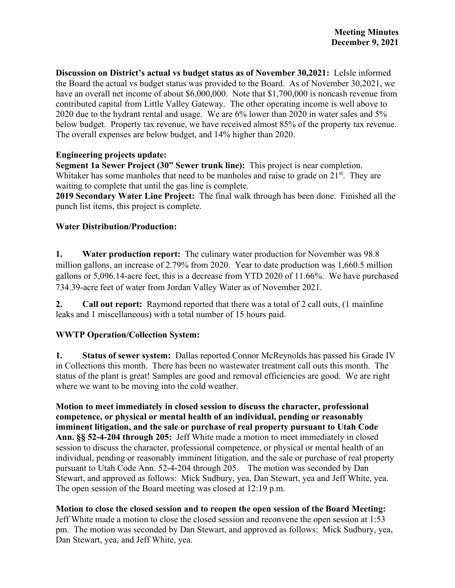**Discussion on District's actual vs budget status as of November 30,2021:** LeIsle informed the Board the actual vs budget status was provided to the Board. As of November 30,2021, we have an overall net income of about \$6,000,000. Note that \$1,700,000 is noncash revenue from contributed capital from Little Valley Gateway. The other operating income is well above to 2020 due to the hydrant rental and usage. We are 6% lower than 2020 in water sales and 5% below budget. Property tax revenue, we have received almost 85% of the property tax revenue. The overall expenses are below budget, and 14% higher than 2020.

### **Engineering projects update:**

**Segment 1a Sewer Project (30" Sewer trunk line):** This project is near completion. Whitaker has some manholes that need to be manholes and raise to grade on  $21<sup>st</sup>$ . They are waiting to complete that until the gas line is complete.

**2019 Secondary Water Line Project:** The final walk through has been done. Finished all the punch list items, this project is complete.

## **Water Distribution/Production:**

**1. Water production report:** The culinary water production for November was 98.8 million gallons, an increase of 2.79% from 2020. Year to date production was 1,660.5 million gallons or 5,096.14-acre feet, this is a decrease from YTD 2020 of 11.66%. We have purchased 734.39-acre feet of water from Jordan Valley Water as of November 2021.

**2. Call out report:** Raymond reported that there was a total of 2 call outs, (1 mainline leaks and 1 miscellaneous) with a total number of 15 hours paid.

## **WWTP Operation/Collection System:**

**1. Status of sewer system:** Dallas reported Connor McReynolds has passed his Grade IV in Collections this month. There has been no wastewater treatment call outs this month. The status of the plant is great! Samples are good and removal efficiencies are good. We are right where we want to be moving into the cold weather.

**Motion to meet immediately in closed session to discuss the character, professional competence, or physical or mental health of an individual, pending or reasonably imminent litigation, and the sale or purchase of real property pursuant to Utah Code Ann. §§ 52-4-204 through 205:** Jeff White made a motion to meet immediately in closed session to discuss the character, professional competence, or physical or mental health of an individual, pending or reasonably imminent litigation, and the sale or purchase of real property pursuant to Utah Code Ann. 52-4-204 through 205. The motion was seconded by Dan Stewart, and approved as follows: Mick Sudbury, yea, Dan Stewart, yea and Jeff White, yea. The open session of the Board meeting was closed at 12:19 p.m.

## **Motion to close the closed session and to reopen the open session of the Board Meeting:**

Jeff White made a motion to close the closed session and reconvene the open session at 1:53 pm. The motion was seconded by Dan Stewart, and approved as follows: Mick Sudbury, yea, Dan Stewart, yea, and Jeff White, yea.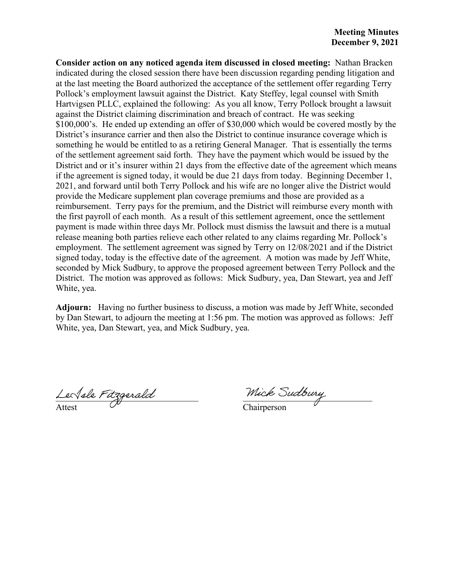**Consider action on any noticed agenda item discussed in closed meeting:** Nathan Bracken indicated during the closed session there have been discussion regarding pending litigation and at the last meeting the Board authorized the acceptance of the settlement offer regarding Terry Pollock's employment lawsuit against the District. Katy Steffey, legal counsel with Smith Hartvigsen PLLC, explained the following: As you all know, Terry Pollock brought a lawsuit against the District claiming discrimination and breach of contract. He was seeking \$100,000's. He ended up extending an offer of \$30,000 which would be covered mostly by the District's insurance carrier and then also the District to continue insurance coverage which is something he would be entitled to as a retiring General Manager. That is essentially the terms of the settlement agreement said forth. They have the payment which would be issued by the District and or it's insurer within 21 days from the effective date of the agreement which means if the agreement is signed today, it would be due 21 days from today. Beginning December 1, 2021, and forward until both Terry Pollock and his wife are no longer alive the District would provide the Medicare supplement plan coverage premiums and those are provided as a reimbursement. Terry pays for the premium, and the District will reimburse every month with the first payroll of each month. As a result of this settlement agreement, once the settlement payment is made within three days Mr. Pollock must dismiss the lawsuit and there is a mutual release meaning both parties relieve each other related to any claims regarding Mr. Pollock's employment. The settlement agreement was signed by Terry on 12/08/2021 and if the District signed today, today is the effective date of the agreement. A motion was made by Jeff White, seconded by Mick Sudbury, to approve the proposed agreement between Terry Pollock and the District. The motion was approved as follows: Mick Sudbury, yea, Dan Stewart, yea and Jeff White, yea.

**Adjourn:** Having no further business to discuss, a motion was made by Jeff White, seconded by Dan Stewart, to adjourn the meeting at 1:56 pm. The motion was approved as follows: Jeff White, yea, Dan Stewart, yea, and Mick Sudbury, yea.

 $L$ e $N$ ele  $r$ itzgerald $\overline{\phantom{a}}$  and  $\overline{\phantom{a}}$  muck sudder  $q$ Attest  $\vee$  Chairperson